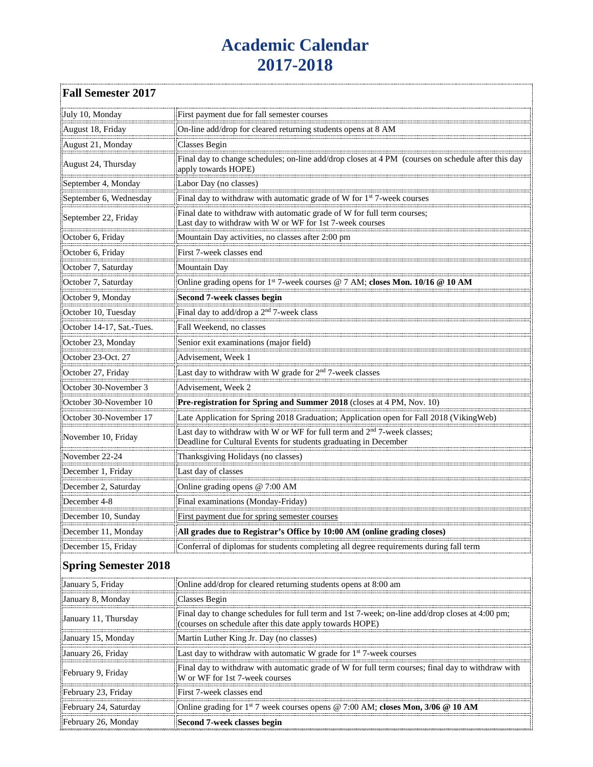## **Academic Calendar 2017-2018**

| <b>Fall Semester 2017</b>   |                                                                                                                                                             |
|-----------------------------|-------------------------------------------------------------------------------------------------------------------------------------------------------------|
| July 10, Monday             | First payment due for fall semester courses                                                                                                                 |
| August 18, Friday           | On-line add/drop for cleared returning students opens at 8 AM                                                                                               |
| August 21, Monday           | Classes Begin                                                                                                                                               |
| August 24, Thursday         | Final day to change schedules; on-line add/drop closes at 4 PM (courses on schedule after this day<br>apply towards HOPE)                                   |
| September 4, Monday         | Labor Day (no classes)                                                                                                                                      |
| September 6, Wednesday      | Final day to withdraw with automatic grade of W for 1 <sup>st</sup> 7-week courses                                                                          |
| September 22, Friday        | Final date to withdraw with automatic grade of W for full term courses;<br>Last day to withdraw with W or WF for 1st 7-week courses                         |
| October 6, Friday           | Mountain Day activities, no classes after 2:00 pm                                                                                                           |
| October 6, Friday           | First 7-week classes end                                                                                                                                    |
| October 7, Saturday         | Mountain Day                                                                                                                                                |
| October 7, Saturday         | Online grading opens for 1st 7-week courses @ 7 AM; closes Mon. 10/16 @ 10 AM                                                                               |
| October 9, Monday           | Second 7-week classes begin                                                                                                                                 |
| October 10, Tuesday         | Final day to add/drop a 2 <sup>nd</sup> 7-week class                                                                                                        |
| October 14-17, Sat.-Tues.   | Fall Weekend, no classes                                                                                                                                    |
| October 23, Monday          | Senior exit examinations (major field)                                                                                                                      |
| October 23-Oct. 27          | Advisement, Week 1                                                                                                                                          |
| October 27, Friday          | Last day to withdraw with W grade for 2 <sup>nd</sup> 7-week classes                                                                                        |
| October 30-November 3       | Advisement, Week 2                                                                                                                                          |
| October 30-November 10      | Pre-registration for Spring and Summer 2018 (closes at 4 PM, Nov. 10)                                                                                       |
| October 30-November 17      | Late Application for Spring 2018 Graduation; Application open for Fall 2018 (VikingWeb)                                                                     |
| November 10, Friday         | Last day to withdraw with W or WF for full term and 2 <sup>nd</sup> 7-week classes;<br>Deadline for Cultural Events for students graduating in December     |
| November 22-24              | Thanksgiving Holidays (no classes)                                                                                                                          |
| December 1, Friday          | Last day of classes                                                                                                                                         |
| December 2, Saturday        | Online grading opens @ 7:00 AM                                                                                                                              |
| December 4-8                | Final examinations (Monday-Friday)                                                                                                                          |
| December 10, Sunday         | First payment due for spring semester courses                                                                                                               |
| December 11, Monday         | All grades due to Registrar's Office by 10:00 AM (online grading closes)                                                                                    |
| December 15, Friday         | Conferral of diplomas for students completing all degree requirements during fall term                                                                      |
| <b>Spring Semester 2018</b> |                                                                                                                                                             |
| January 5, Friday           | Online add/drop for cleared returning students opens at 8:00 am                                                                                             |
| January 8, Monday           | Classes Begin                                                                                                                                               |
| January 11, Thursday        | Final day to change schedules for full term and 1st 7-week; on-line add/drop closes at 4:00 pm;<br>(courses on schedule after this date apply towards HOPE) |
| January 15, Monday          | Martin Luther King Jr. Day (no classes)                                                                                                                     |
| January 26, Friday          | Last day to withdraw with automatic W grade for 1st 7-week courses                                                                                          |
| February 9, Friday          | Final day to withdraw with automatic grade of W for full term courses; final day to withdraw with<br>W or WF for 1st 7-week courses                         |
| February 23, Friday         | First 7-week classes end                                                                                                                                    |
| February 24, Saturday       | Online grading for 1 <sup>st</sup> 7 week courses opens @ 7:00 AM; closes Mon, 3/06 @ 10 AM                                                                 |
| February 26, Monday         | Second 7-week classes begin                                                                                                                                 |